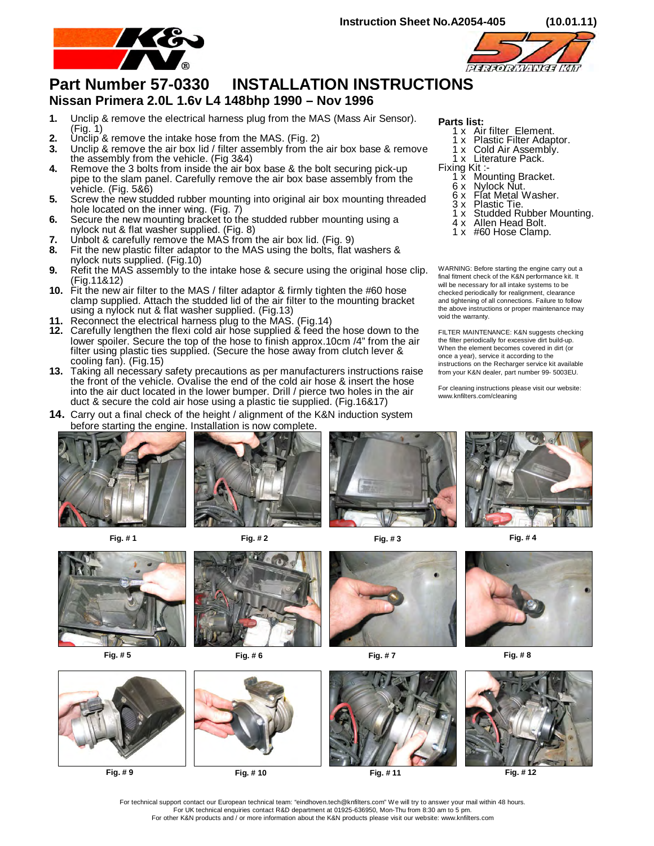



## **Part Number 57-0330 INSTALLATION INSTRUCTIONS**

## **Nissan Primera 2.0L 1.6v L4 148bhp 1990 – Nov 1996**

- **1.** Unclip & remove the electrical harness plug from the MAS (Mass Air Sensor). (Fig. 1)
- **2.** Unclip & remove the intake hose from the MAS. (Fig. 2)
- **3.** Unclip & remove the air box lid / filter assembly from the air box base & remove the assembly from the vehicle. (Fig 3&4)
- **4.** Remove the 3 bolts from inside the air box base & the bolt securing pick-up pipe to the slam panel. Carefully remove the air box base assembly from the vehicle. (Fig. 5&6)
- **5.** Screw the new studded rubber mounting into original air box mounting threaded hole located on the inner wing. (Fig. 7)
- **6.** Secure the new mounting bracket to the studded rubber mounting using a nylock nut & flat washer supplied. (Fig. 8)
- **7.** Unbolt & carefully remove the MAS from the air box lid. (Fig. 9)
- **8.** Fit the new plastic filter adaptor to the MAS using the bolts, flat washers & nylock nuts supplied. (Fig.10)
- **9.** Refit the MAS assembly to the intake hose & secure using the original hose clip. (Fig.11&12)
- **10.** Fit the new air filter to the MAS / filter adaptor & firmly tighten the #60 hose clamp supplied. Attach the studded lid of the air filter to the mounting bracket using a nylock nut & flat washer supplied. (Fig.13)
- **11.** Reconnect the electrical harness plug to the MAS. (Fig.14)
- **12.** Carefully lengthen the flexi cold air hose supplied & feed the hose down to the lower spoiler. Secure the top of the hose to finish approx.10cm /4" from the air filter using plastic ties supplied. (Secure the hose away from clutch lever & cooling fan). (Fig.15)
- **13.** Taking all necessary safety precautions as per manufacturers instructions raise the front of the vehicle. Ovalise the end of the cold air hose & insert the hose into the air duct located in the lower bumper. Drill / pierce two holes in the air duct & secure the cold air hose using a plastic tie supplied. (Fig.16&17)

**14.** Carry out a final check of the height / alignment of the K&N induction system

## 1 x Air filter Element.

**Parts list:**

- 1 x Plastic Filter Adaptor. 1 x Cold Air Assembly.
	- 1 x Literature Pack.
- Fixing Kit:
	- 1 x Mounting Bracket.
- 6 x Nylock Nut.
- 6 x Flat Metal Washer.
	- 3 x Plastic Tie.
		- 1 x Studded Rubber Mounting.
	- 4 x Allen Head Bolt.
	- 1 x #60 Hose Clamp.

WARNING: Before starting the engine carry out a final fitment check of the K&N performance kit. It will be necessary for all intake systems to be checked periodically for realignment, clearance and tightening of all connections. Failure to follow the above instructions or proper maintenance may void the warranty.

FILTER MAINTENANCE: K&N suggests checking the filter periodically for excessive dirt build-up. When the element becomes covered in dirt (or once a year), service it according to the instructions on the Recharger service kit available from your K&N dealer, part number 99- 5003EU.

For cleaning instructions please visit our website: www.knfilters.com/cleaning





















**Fig. # 9 Fig. # 10 Fig. # 11 Fig. # 12**

For technical support contact our European technical team: "eindhoven.tech@knfilters.com" We will try to answer your mail within 48 hours. For UK technical enquiries contact R&D department at 01925-636950, Mon-Thu from 8:30 am to 5 pm. For other K&N products and / or more information about the K&N products please visit our website: www.knfilters.com